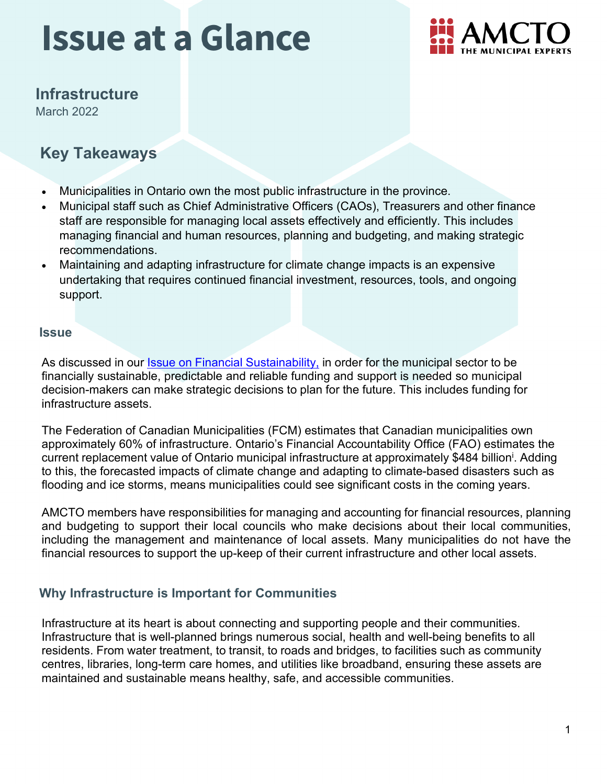

### **Infrastructure**

March 2022

### **Key Takeaways**

- Municipalities in Ontario own the most public infrastructure in the province.
- Municipal staff such as Chief Administrative Officers (CAOs), Treasurers and other finance staff are responsible for managing local assets effectively and efficiently. This includes managing financial and human resources, planning and budgeting, and making strategic recommendations.
- Maintaining and adapting infrastructure for climate change impacts is an expensive undertaking that requires continued financial investment, resources, tools, and ongoing support.

#### **Issue**

As discussed in our *Issue* on Financial [Sustainability,](https://www.amcto.com/getattachment/d5e21969-b646-4a00-8fa7-2dcb4b69def7/.aspx) in order for the municipal sector to be financially sustainable, predictable and reliable funding and support is needed so municipal decision-makers can make strategic decisions to plan for the future. This includes funding for infrastructure assets.

The Federation of Canadian Municipalities (FCM) estimates that Canadian municipalities own approximately 60% of infrastructure. Ontario's Financial Accountability Office (FAO) estimates the current replacement value of Ontario municipal infrastructure at approximately \$484 billion<sup>i</sup>. Adding to this, the forecasted impacts of climate change and adapting to climate-based disasters such as flooding and ice storms, means municipalities could see significant costs in the coming years.

AMCTO members have responsibilities for managing and accounting for financial resources, planning and budgeting to support their local councils who make decisions about their local communities, including the management and maintenance of local assets. Many municipalities do not have the financial resources to support the up-keep of their current infrastructure and other local assets.

#### **Why Infrastructure is Important for Communities**

Infrastructure at its heart is about connecting and supporting people and their communities. Infrastructure that is well-planned brings numerous social, health and well-being benefits to all residents. From water treatment, to transit, to roads and bridges, to facilities such as community centres, libraries, long-term care homes, and utilities like broadband, ensuring these assets are maintained and sustainable means healthy, safe, and accessible communities.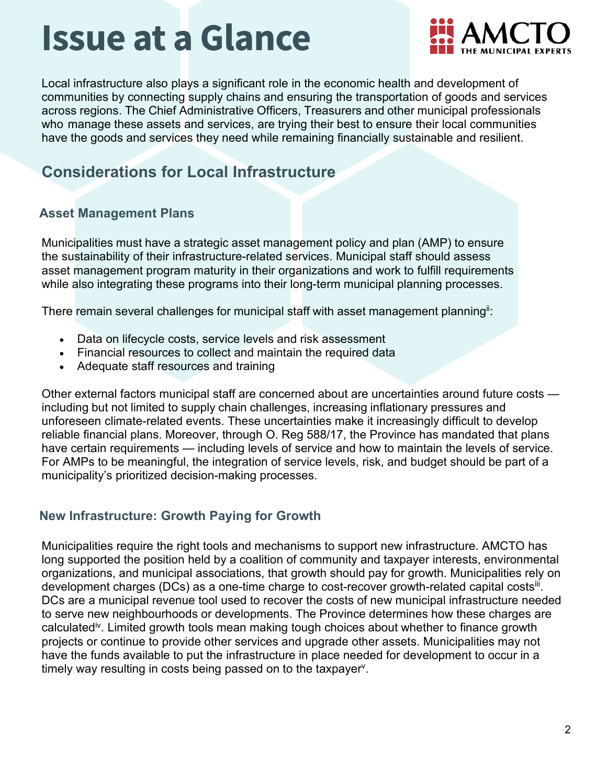

Local infrastructure also plays a significant role in the economic health and development of communities by connecting supply chains and ensuring the transportation of goods and services across regions. The Chief Administrative Officers, Treasurers and other municipal professionals who manage these assets and services, are trying their best to ensure their local communities have the goods and services they need while remaining financially sustainable and resilient.

### **Considerations for Local Infrastructure**

#### **Asset Management Plans**

Municipalities must have a strategic asset management policy and plan (AMP) to ensure the sustainability of their infrastructure-related services. Municipal staff should assess asset management program maturity in their organizations and work to fulfill requirements while also integrating these programs into their long-term municipal planning processes.

There remain several challenges for municipal staff with asset management planning<sup>ii</sup>:

- Data on lifecycle costs, service levels and risk assessment
- Financial resources to collect and maintain the required data
- Adequate staff resources and training

Other external factors municipal staff are concerned about are uncertainties around future costs including but not limited to supply chain challenges, increasing inflationary pressures and unforeseen climate-related events. These uncertainties make it increasingly difficult to develop reliable financial plans. Moreover, through O. Reg 588/17, the Province has mandated that plans have certain requirements — including levels of service and how to maintain the levels of service. For AMPs to be meaningful, the integration of service levels, risk, and budget should be part of a municipality's prioritized decision-making processes.

#### **New Infrastructure: Growth Paying for Growth**

Municipalities require the right tools and mechanisms to support new infrastructure. AMCTO has long supported the position held by a coalition of community and taxpayer interests, environmental organizations, and municipal associations, that growth should pay for growth. Municipalities rely on development charges (DCs) as a one-time charge to cost-recover growth-related capital costs<sup>ii</sup>. DCs are a municipal revenue tool used to recover the costs of new municipal infrastructure needed to serve new neighbourhoods or developments. The Province determines how these charges are calculated<sup>iv</sup>. Limited growth tools mean making tough choices about whether to finance growth projects or continue to provide other services and upgrade other assets. Municipalities may not have the funds available to put the infrastructure in place needed for development to occur in a timely way resulting in costs being passed on to the taxpayer<sup>y</sup>.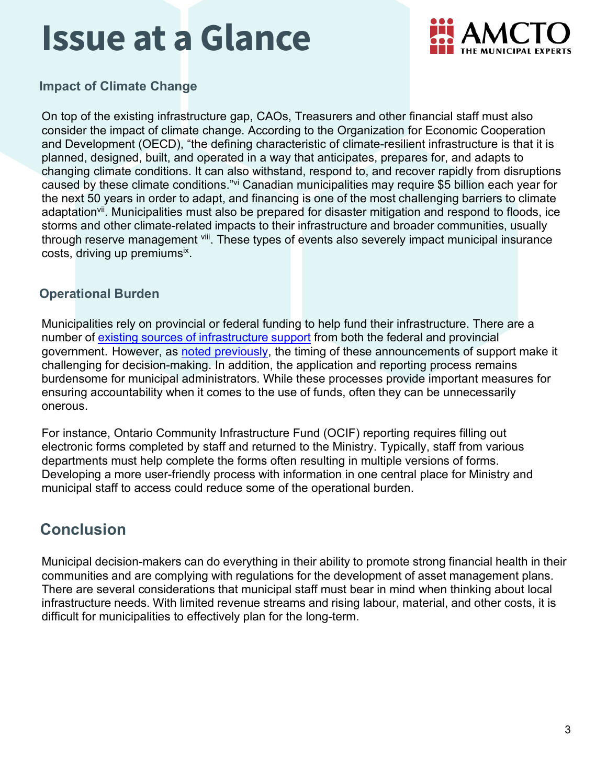

**Impact of Climate Change**

On top of the existing infrastructure gap, CAOs, Treasurers and other financial staff must also consider the impact of climate change. According to the Organization for Economic Cooperation and Development (OECD), "the defining characteristic of climate-resilient infrastructure is that it is planned, designed, built, and operated in a way that anticipates, prepares for, and adapts to changing climate conditions. It can also withstand, respond to, and recover rapidly from disruptions caused by these climate conditions."<sup>[vi](#page-3-3)</sup> Canadian municipalities may require \$5 billion each year for the next 50 years in order to adapt, and financing is one of the most challenging barriers to climate adaptation<sup>vii</sup>. Municipalities must also be prepared for disaster mitigation and respond to floods, ice storms and other climate-related impacts to their infrastructure and broader communities, usually through reserve management vill. These types of events also severely impact municipal insurance costs, driving up premiums<sup>ix</sup>.

#### **Operational Burden**

Municipalities rely on provincial or federal funding to help fund their infrastructure. There are a number of existing sources of [infrastructure](https://www.amo.on.ca/advocacy/infrastructure-broadband/municipal-infrastructure-economic-recovery) support from both the federal and provincial government. However, as [noted previously, t](https://www.amcto.com/getattachment/d5e21969-b646-4a00-8fa7-2dcb4b69def7/.aspx)he timing of these announcements of support make it challenging for decision-making. In addition, the application and reporting process remains burdensome for municipal administrators. While these processes provide important measures for ensuring accountability when it comes to the use of funds, often they can be unnecessarily onerous.

For instance, Ontario Community Infrastructure Fund (OCIF) reporting requires filling out electronic forms completed by staff and returned to the Ministry. Typically, staff from various departments must help complete the forms often resulting in multiple versions of forms. Developing a more user-friendly process with information in one central place for Ministry and municipal staff to access could reduce some of the operational burden.

### **Conclusion**

Municipal decision-makers can do everything in their ability to promote strong financial health in their communities and are complying with regulations for the development of asset management plans. There are several considerations that municipal staff must bear in mind when thinking about local infrastructure needs. With limited revenue streams and rising labour, material, and other costs, it is difficult for municipalities to effectively plan for the long-term.